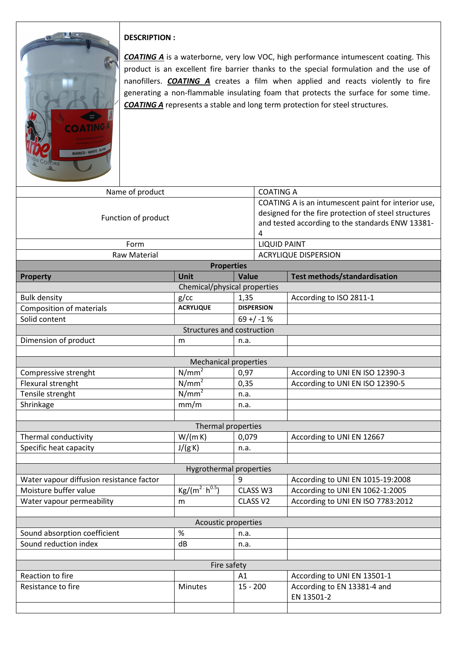

## **DESCRIPTION :**

*COATING A* is a waterborne, very low VOC, high performance intumescent coating. This product is an excellent fire barrier thanks to the special formulation and the use of nanofillers. *COATING A* creates a film when applied and reacts violently to fire generating a non-flammable insulating foam that protects the surface for some time. *COATING A* represents a stable and long term protection for steel structures.

| Name of product                          |                          |                   | <b>COATING A</b>                                                                                                                                                     |  |  |  |
|------------------------------------------|--------------------------|-------------------|----------------------------------------------------------------------------------------------------------------------------------------------------------------------|--|--|--|
| Function of product                      |                          |                   | COATING A is an intumescent paint for interior use,<br>designed for the fire protection of steel structures<br>and tested according to the standards ENW 13381-<br>4 |  |  |  |
| Form                                     |                          |                   | <b>LIQUID PAINT</b>                                                                                                                                                  |  |  |  |
| <b>Raw Material</b>                      |                          |                   | <b>ACRYLIQUE DISPERSION</b>                                                                                                                                          |  |  |  |
| <b>Properties</b>                        |                          |                   |                                                                                                                                                                      |  |  |  |
| <b>Property</b>                          | <b>Unit</b>              | Value             | Test methods/standardisation                                                                                                                                         |  |  |  |
| Chemical/physical properties             |                          |                   |                                                                                                                                                                      |  |  |  |
| <b>Bulk density</b>                      | g/cc                     | 1,35              | According to ISO 2811-1                                                                                                                                              |  |  |  |
| <b>Composition of materials</b>          | <b>ACRYLIQUE</b>         | <b>DISPERSION</b> |                                                                                                                                                                      |  |  |  |
| Solid content                            |                          | $69 + / -1$ %     |                                                                                                                                                                      |  |  |  |
| Structures and costruction               |                          |                   |                                                                                                                                                                      |  |  |  |
| Dimension of product                     | m                        | n.a.              |                                                                                                                                                                      |  |  |  |
|                                          |                          |                   |                                                                                                                                                                      |  |  |  |
| <b>Mechanical properties</b>             |                          |                   |                                                                                                                                                                      |  |  |  |
| Compressive strenght                     | N/mm <sup>2</sup>        | 0,97              | According to UNI EN ISO 12390-3                                                                                                                                      |  |  |  |
| Flexural strenght                        | N/mm <sup>2</sup>        | 0,35              | According to UNI EN ISO 12390-5                                                                                                                                      |  |  |  |
| Tensile strenght                         | $N/mm^2$                 | n.a.              |                                                                                                                                                                      |  |  |  |
| Shrinkage                                | mm/m                     | n.a.              |                                                                                                                                                                      |  |  |  |
|                                          |                          |                   |                                                                                                                                                                      |  |  |  |
| Thermal properties                       |                          |                   |                                                                                                                                                                      |  |  |  |
| Thermal conductivity                     | W/(mK)                   | 0,079             | According to UNI EN 12667                                                                                                                                            |  |  |  |
| Specific heat capacity                   | J/(g K)                  | n.a.              |                                                                                                                                                                      |  |  |  |
|                                          |                          |                   |                                                                                                                                                                      |  |  |  |
| <b>Hygrothermal properties</b>           |                          |                   |                                                                                                                                                                      |  |  |  |
| Water vapour diffusion resistance factor |                          | 9                 | According to UNI EN 1015-19:2008                                                                                                                                     |  |  |  |
| Moisture buffer value                    | $Kg/(m^2 \cdot h^{0.5})$ | CLASS W3          | According to UNI EN 1062-1:2005                                                                                                                                      |  |  |  |
| Water vapour permeability                | m                        | CLASS V2          | According to UNI EN ISO 7783:2012                                                                                                                                    |  |  |  |
|                                          |                          |                   |                                                                                                                                                                      |  |  |  |
| Acoustic properties                      |                          |                   |                                                                                                                                                                      |  |  |  |
| Sound absorption coefficient             | $\%$                     | n.a.              |                                                                                                                                                                      |  |  |  |
| Sound reduction index                    | dB                       | n.a.              |                                                                                                                                                                      |  |  |  |
|                                          |                          |                   |                                                                                                                                                                      |  |  |  |
| Fire safety                              |                          |                   |                                                                                                                                                                      |  |  |  |
| Reaction to fire<br>Resistance to fire   | <b>Minutes</b>           | A1<br>$15 - 200$  | According to UNI EN 13501-1<br>According to EN 13381-4 and                                                                                                           |  |  |  |
|                                          |                          |                   | EN 13501-2                                                                                                                                                           |  |  |  |
|                                          |                          |                   |                                                                                                                                                                      |  |  |  |
|                                          |                          |                   |                                                                                                                                                                      |  |  |  |